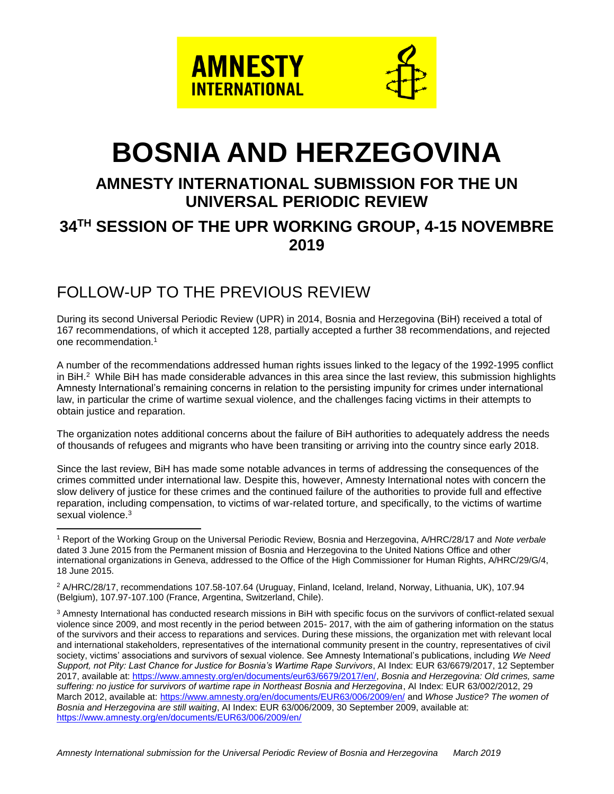

# **BOSNIA AND HERZEGOVINA**

## **AMNESTY INTERNATIONAL SUBMISSION FOR THE UN UNIVERSAL PERIODIC REVIEW 34 TH SESSION OF THE UPR WORKING GROUP, 4-15 NOVEMBRE 2019**

### FOLLOW-UP TO THE PREVIOUS REVIEW

 $\overline{a}$ 

During its second Universal Periodic Review (UPR) in 2014, Bosnia and Herzegovina (BiH) received a total of 167 recommendations, of which it accepted 128, partially accepted a further 38 recommendations, and rejected one recommendation.<sup>1</sup>

A number of the recommendations addressed human rights issues linked to the legacy of the 1992-1995 conflict in BiH.<sup>2</sup> While BiH has made considerable advances in this area since the last review, this submission highlights Amnesty International's remaining concerns in relation to the persisting impunity for crimes under international law, in particular the crime of wartime sexual violence, and the challenges facing victims in their attempts to obtain justice and reparation.

The organization notes additional concerns about the failure of BiH authorities to adequately address the needs of thousands of refugees and migrants who have been transiting or arriving into the country since early 2018.

Since the last review, BiH has made some notable advances in terms of addressing the consequences of the crimes committed under international law. Despite this, however, Amnesty International notes with concern the slow delivery of justice for these crimes and the continued failure of the authorities to provide full and effective reparation, including compensation, to victims of war-related torture, and specifically, to the victims of wartime sexual violence.<sup>3</sup>

<sup>1</sup> Report of the Working Group on the Universal Periodic Review, Bosnia and Herzegovina, A/HRC/28/17 and *Note verbale* dated 3 June 2015 from the Permanent mission of Bosnia and Herzegovina to the United Nations Office and other international organizations in Geneva, addressed to the Office of the High Commissioner for Human Rights, A/HRC/29/G/4, 18 June 2015.

<sup>2</sup> A/HRC/28/17, recommendations 107.58-107.64 (Uruguay, Finland, Iceland, Ireland, Norway, Lithuania, UK), 107.94 (Belgium), 107.97-107.100 (France, Argentina, Switzerland, Chile).

<sup>3</sup> Amnesty International has conducted research missions in BiH with specific focus on the survivors of conflict-related sexual violence since 2009, and most recently in the period between 2015- 2017, with the aim of gathering information on the status of the survivors and their access to reparations and services. During these missions, the organization met with relevant local and international stakeholders, representatives of the international community present in the country, representatives of civil society, victims' associations and survivors of sexual violence. See Amnesty International's publications, including *We Need Support, not Pity: Last Chance for Justice for Bosnia's Wartime Rape Survivors*, AI Index: EUR 63/6679/2017, 12 September 2017, available at: [https://www.amnesty.org/en/documents/eur63/6679/2017/en/,](https://www.amnesty.org/en/documents/eur63/6679/2017/en/) *Bosnia and Herzegovina: Old crimes, same suffering: no justice for survivors of wartime rape in Northeast Bosnia and Herzegovina*, AI Index: EUR 63/002/2012, 29 March 2012, available at:<https://www.amnesty.org/en/documents/EUR63/006/2009/en/> and *Whose Justice? The women of Bosnia and Herzegovina are still waiting*, AI Index: EUR 63/006/2009, 30 September 2009, available at: <https://www.amnesty.org/en/documents/EUR63/006/2009/en/>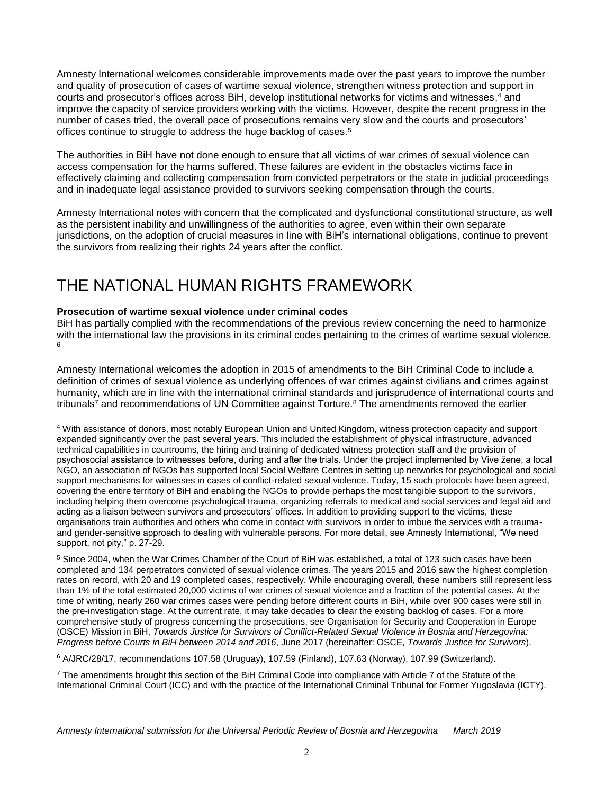Amnesty International welcomes considerable improvements made over the past years to improve the number and quality of prosecution of cases of wartime sexual violence, strengthen witness protection and support in courts and prosecutor's offices across BiH, develop institutional networks for victims and witnesses, <sup>4</sup> and improve the capacity of service providers working with the victims. However, despite the recent progress in the number of cases tried, the overall pace of prosecutions remains very slow and the courts and prosecutors' offices continue to struggle to address the huge backlog of cases.<sup>5</sup>

The authorities in BiH have not done enough to ensure that all victims of war crimes of sexual violence can access compensation for the harms suffered. These failures are evident in the obstacles victims face in effectively claiming and collecting compensation from convicted perpetrators or the state in judicial proceedings and in inadequate legal assistance provided to survivors seeking compensation through the courts.

Amnesty International notes with concern that the complicated and dysfunctional constitutional structure, as well as the persistent inability and unwillingness of the authorities to agree, even within their own separate jurisdictions, on the adoption of crucial measures in line with BiH's international obligations, continue to prevent the survivors from realizing their rights 24 years after the conflict.

# THE NATIONAL HUMAN RIGHTS FRAMEWORK

### **Prosecution of wartime sexual violence under criminal codes**

 $\overline{a}$ 

BiH has partially complied with the recommendations of the previous review concerning the need to harmonize with the international law the provisions in its criminal codes pertaining to the crimes of wartime sexual violence. 6

Amnesty International welcomes the adoption in 2015 of amendments to the BiH Criminal Code to include a definition of crimes of sexual violence as underlying offences of war crimes against civilians and crimes against humanity, which are in line with the international criminal standards and jurisprudence of international courts and tribunals<sup>7</sup> and recommendations of UN Committee against Torture.<sup>8</sup> The amendments removed the earlier

<sup>5</sup> Since 2004, when the War Crimes Chamber of the Court of BiH was established, a total of 123 such cases have been completed and 134 perpetrators convicted of sexual violence crimes. The years 2015 and 2016 saw the highest completion rates on record, with 20 and 19 completed cases, respectively. While encouraging overall, these numbers still represent less than 1% of the total estimated 20,000 victims of war crimes of sexual violence and a fraction of the potential cases. At the time of writing, nearly 260 war crimes cases were pending before different courts in BiH, while over 900 cases were still in the pre-investigation stage. At the current rate, it may take decades to clear the existing backlog of cases. For a more comprehensive study of progress concerning the prosecutions, see Organisation for Security and Cooperation in Europe (OSCE) Mission in BiH, *Towards Justice for Survivors of Conflict-Related Sexual Violence in Bosnia and Herzegovina: Progress before Courts in BiH between 2014 and 2016*, June 2017 (hereinafter: OSCE, *Towards Justice for Survivors*).

<sup>6</sup> A/JRC/28/17, recommendations 107.58 (Uruguay), 107.59 (Finland), 107.63 (Norway), 107.99 (Switzerland).

 $7$  The amendments brought this section of the BiH Criminal Code into compliance with Article 7 of the Statute of the International Criminal Court (ICC) and with the practice of the International Criminal Tribunal for Former Yugoslavia (ICTY).

<sup>4</sup> With assistance of donors, most notably European Union and United Kingdom, witness protection capacity and support expanded significantly over the past several years. This included the establishment of physical infrastructure, advanced technical capabilities in courtrooms, the hiring and training of dedicated witness protection staff and the provision of psychosocial assistance to witnesses before, during and after the trials. Under the project implemented by Vive žene, a local NGO, an association of NGOs has supported local Social Welfare Centres in setting up networks for psychological and social support mechanisms for witnesses in cases of conflict-related sexual violence. Today, 15 such protocols have been agreed, covering the entire territory of BiH and enabling the NGOs to provide perhaps the most tangible support to the survivors, including helping them overcome psychological trauma, organizing referrals to medical and social services and legal aid and acting as a liaison between survivors and prosecutors' offices. In addition to providing support to the victims, these organisations train authorities and others who come in contact with survivors in order to imbue the services with a traumaand gender-sensitive approach to dealing with vulnerable persons. For more detail, see Amnesty International, "We need support, not pity," p. 27-29.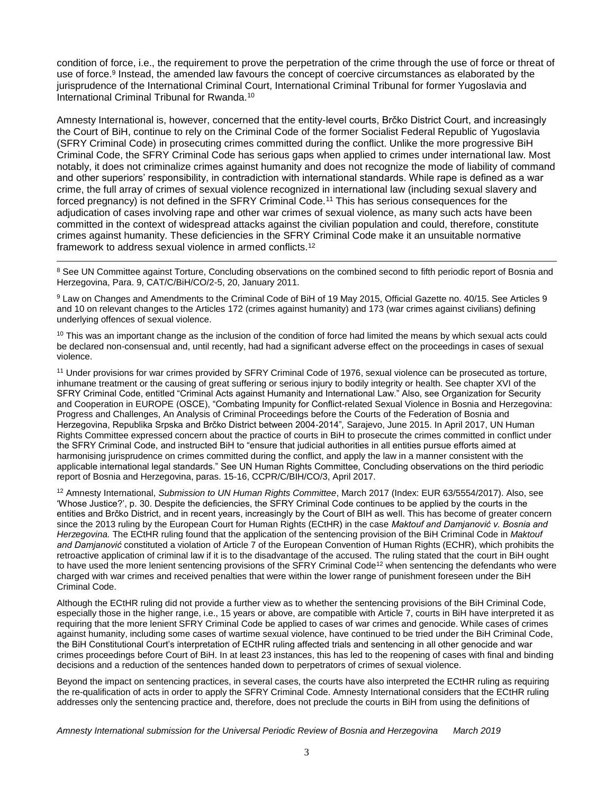condition of force, i.e., the requirement to prove the perpetration of the crime through the use of force or threat of use of force.<sup>9</sup> Instead, the amended law favours the concept of coercive circumstances as elaborated by the jurisprudence of the International Criminal Court, International Criminal Tribunal for former Yugoslavia and International Criminal Tribunal for Rwanda.<sup>10</sup>

Amnesty International is, however, concerned that the entity-level courts, Brčko District Court, and increasingly the Court of BiH, continue to rely on the Criminal Code of the former Socialist Federal Republic of Yugoslavia (SFRY Criminal Code) in prosecuting crimes committed during the conflict. Unlike the more progressive BiH Criminal Code, the SFRY Criminal Code has serious gaps when applied to crimes under international law. Most notably, it does not criminalize crimes against humanity and does not recognize the mode of liability of command and other superiors' responsibility, in contradiction with international standards. While rape is defined as a war crime, the full array of crimes of sexual violence recognized in international law (including sexual slavery and forced pregnancy) is not defined in the SFRY Criminal Code.<sup>11</sup> This has serious consequences for the adjudication of cases involving rape and other war crimes of sexual violence, as many such acts have been committed in the context of widespread attacks against the civilian population and could, therefore, constitute crimes against humanity. These deficiencies in the SFRY Criminal Code make it an unsuitable normative framework to address sexual violence in armed conflicts.<sup>12</sup>

<sup>8</sup> See UN Committee against Torture, Concluding observations on the combined second to fifth periodic report of Bosnia and Herzegovina, Para. 9, CAT/C/BiH/CO/2-5, 20, January 2011.

 $\overline{a}$ 

9 Law on Changes and Amendments to the Criminal Code of BiH of 19 May 2015, Official Gazette no. 40/15. See Articles 9 and 10 on relevant changes to the Articles 172 (crimes against humanity) and 173 (war crimes against civilians) defining underlying offences of sexual violence.

 $10$  This was an important change as the inclusion of the condition of force had limited the means by which sexual acts could be declared non-consensual and, until recently, had had a significant adverse effect on the proceedings in cases of sexual violence.

<sup>11</sup> Under provisions for war crimes provided by SFRY Criminal Code of 1976, sexual violence can be prosecuted as torture, inhumane treatment or the causing of great suffering or serious injury to bodily integrity or health. See chapter XVI of the SFRY Criminal Code, entitled "Criminal Acts against Humanity and International Law." Also, see Organization for Security and Cooperation in EUROPE (OSCE), "Combating Impunity for Conflict-related Sexual Violence in Bosnia and Herzegovina: Progress and Challenges, An Analysis of Criminal Proceedings before the Courts of the Federation of Bosnia and Herzegovina, Republika Srpska and Brčko District between 2004-2014"*,* Sarajevo, June 2015. In April 2017, UN Human Rights Committee expressed concern about the practice of courts in BiH to prosecute the crimes committed in conflict under the SFRY Criminal Code, and instructed BiH to "ensure that judicial authorities in all entities pursue efforts aimed at harmonising jurisprudence on crimes committed during the conflict, and apply the law in a manner consistent with the applicable international legal standards." See UN Human Rights Committee, Concluding observations on the third periodic report of Bosnia and Herzegovina, paras. 15-16, CCPR/C/BIH/CO/3, April 2017.

<sup>12</sup> Amnesty International, *Submission to UN Human Rights Committee*, March 2017 (Index: EUR 63/5554/2017). Also, see 'Whose Justice?', p. 30. Despite the deficiencies, the SFRY Criminal Code continues to be applied by the courts in the entities and Brčko District, and in recent years, increasingly by the Court of BIH as well. This has become of greater concern since the 2013 ruling by the European Court for Human Rights (ECtHR) in the case *Maktouf and Damjanović v. Bosnia and Herzegovina.* The ECtHR ruling found that the application of the sentencing provision of the BiH Criminal Code in *Maktouf and Damjanović* constituted a violation of Article 7 of the European Convention of Human Rights (ECHR), which prohibits the retroactive application of criminal law if it is to the disadvantage of the accused. The ruling stated that the court in BiH ought to have used the more lenient sentencing provisions of the SFRY Criminal Code<sup>12</sup> when sentencing the defendants who were charged with war crimes and received penalties that were within the lower range of punishment foreseen under the BiH Criminal Code.

Although the ECtHR ruling did not provide a further view as to whether the sentencing provisions of the BiH Criminal Code, especially those in the higher range, i.e., 15 years or above, are compatible with Article 7, courts in BiH have interpreted it as requiring that the more lenient SFRY Criminal Code be applied to cases of war crimes and genocide. While cases of crimes against humanity, including some cases of wartime sexual violence, have continued to be tried under the BiH Criminal Code, the BiH Constitutional Court's interpretation of ECtHR ruling affected trials and sentencing in all other genocide and war crimes proceedings before Court of BiH. In at least 23 instances, this has led to the reopening of cases with final and binding decisions and a reduction of the sentences handed down to perpetrators of crimes of sexual violence.

Beyond the impact on sentencing practices, in several cases, the courts have also interpreted the ECtHR ruling as requiring the re-qualification of acts in order to apply the SFRY Criminal Code. Amnesty International considers that the ECtHR ruling addresses only the sentencing practice and, therefore, does not preclude the courts in BiH from using the definitions of

*Amnesty International submission for the Universal Periodic Review of Bosnia and Herzegovina March 2019*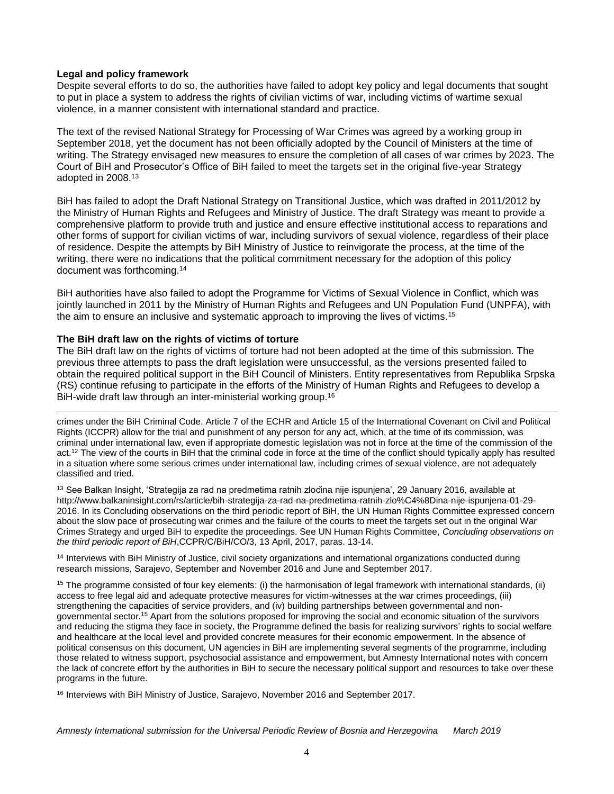#### **Legal and policy framework**

 $\overline{a}$ 

Despite several efforts to do so, the authorities have failed to adopt key policy and legal documents that sought to put in place a system to address the rights of civilian victims of war, including victims of wartime sexual violence, in a manner consistent with international standard and practice.

The text of the revised National Strategy for Processing of War Crimes was agreed by a working group in September 2018, yet the document has not been officially adopted by the Council of Ministers at the time of writing. The Strategy envisaged new measures to ensure the completion of all cases of war crimes by 2023. The Court of BiH and Prosecutor's Office of BiH failed to meet the targets set in the original five-year Strategy adopted in 2008.<sup>13</sup>

BiH has failed to adopt the Draft National Strategy on Transitional Justice, which was drafted in 2011/2012 by the Ministry of Human Rights and Refugees and Ministry of Justice. The draft Strategy was meant to provide a comprehensive platform to provide truth and justice and ensure effective institutional access to reparations and other forms of support for civilian victims of war, including survivors of sexual violence, regardless of their place of residence. Despite the attempts by BiH Ministry of Justice to reinvigorate the process, at the time of the writing, there were no indications that the political commitment necessary for the adoption of this policy document was forthcoming.<sup>14</sup>

BiH authorities have also failed to adopt the Programme for Victims of Sexual Violence in Conflict, which was jointly launched in 2011 by the Ministry of Human Rights and Refugees and UN Population Fund (UNPFA), with the aim to ensure an inclusive and systematic approach to improving the lives of victims.<sup>15</sup>

#### **The BiH draft law on the rights of victims of torture**

The BiH draft law on the rights of victims of torture had not been adopted at the time of this submission. The previous three attempts to pass the draft legislation were unsuccessful, as the versions presented failed to obtain the required political support in the BiH Council of Ministers. Entity representatives from Republika Srpska (RS) continue refusing to participate in the efforts of the Ministry of Human Rights and Refugees to develop a BiH-wide draft law through an inter-ministerial working group.<sup>16</sup>

crimes under the BiH Criminal Code. Article 7 of the ECHR and Article 15 of the International Covenant on Civil and Political Rights (ICCPR) allow for the trial and punishment of any person for any act, which, at the time of its commission, was criminal under international law, even if appropriate domestic legislation was not in force at the time of the commission of the act.<sup>12</sup> The view of the courts in BiH that the criminal code in force at the time of the conflict should typically apply has resulted in a situation where some serious crimes under international law, including crimes of sexual violence, are not adequately classified and tried.

<sup>13</sup> See Balkan Insight, 'Strategija za rad na predmetima ratnih zločina nije ispunjena', 29 January 2016, available at http://www.balkaninsight.com/rs/article/bih-strategija-za-rad-na-predmetima-ratnih-zlo%C4%8Dina-nije-ispunjena-01-29- 2016. In its Concluding observations on the third periodic report of BiH, the UN Human Rights Committee expressed concern about the slow pace of prosecuting war crimes and the failure of the courts to meet the targets set out in the original War Crimes Strategy and urged BiH to expedite the proceedings. See UN Human Rights Committee, *Concluding observations on the third periodic report of BiH*,CCPR/C/BiH/CO/3, 13 April, 2017, paras. 13-14.

<sup>14</sup> Interviews with BiH Ministry of Justice, civil society organizations and international organizations conducted during research missions, Sarajevo, September and November 2016 and June and September 2017.

 $15$  The programme consisted of four key elements: (i) the harmonisation of legal framework with international standards, (ii) access to free legal aid and adequate protective measures for victim-witnesses at the war crimes proceedings, (iii) strengthening the capacities of service providers, and (iv) building partnerships between governmental and nongovernmental sector.<sup>15</sup> Apart from the solutions proposed for improving the social and economic situation of the survivors and reducing the stigma they face in society, the Programme defined the basis for realizing survivors' rights to social welfare and healthcare at the local level and provided concrete measures for their economic empowerment. In the absence of political consensus on this document, UN agencies in BiH are implementing several segments of the programme, including those related to witness support, psychosocial assistance and empowerment, but Amnesty International notes with concern the lack of concrete effort by the authorities in BiH to secure the necessary political support and resources to take over these programs in the future.

<sup>16</sup> Interviews with BiH Ministry of Justice, Sarajevo, November 2016 and September 2017.

*Amnesty International submission for the Universal Periodic Review of Bosnia and Herzegovina March 2019*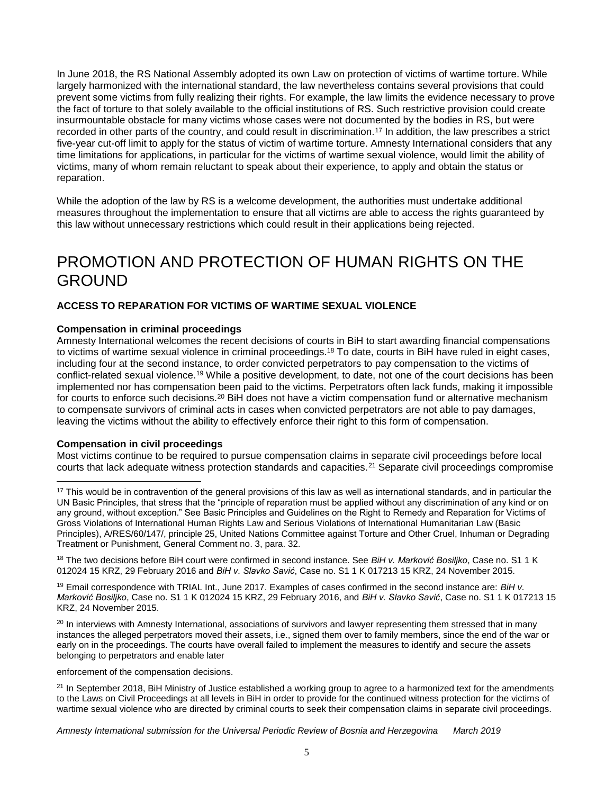In June 2018, the RS National Assembly adopted its own Law on protection of victims of wartime torture. While largely harmonized with the international standard, the law nevertheless contains several provisions that could prevent some victims from fully realizing their rights. For example, the law limits the evidence necessary to prove the fact of torture to that solely available to the official institutions of RS. Such restrictive provision could create insurmountable obstacle for many victims whose cases were not documented by the bodies in RS, but were recorded in other parts of the country, and could result in discrimination.<sup>17</sup> In addition, the law prescribes a strict five-year cut-off limit to apply for the status of victim of wartime torture. Amnesty International considers that any time limitations for applications, in particular for the victims of wartime sexual violence, would limit the ability of victims, many of whom remain reluctant to speak about their experience, to apply and obtain the status or reparation.

While the adoption of the law by RS is a welcome development, the authorities must undertake additional measures throughout the implementation to ensure that all victims are able to access the rights guaranteed by this law without unnecessary restrictions which could result in their applications being rejected.

## PROMOTION AND PROTECTION OF HUMAN RIGHTS ON THE GROUND

### **ACCESS TO REPARATION FOR VICTIMS OF WARTIME SEXUAL VIOLENCE**

#### **Compensation in criminal proceedings**

Amnesty International welcomes the recent decisions of courts in BiH to start awarding financial compensations to victims of wartime sexual violence in criminal proceedings.<sup>18</sup> To date, courts in BiH have ruled in eight cases, including four at the second instance, to order convicted perpetrators to pay compensation to the victims of conflict-related sexual violence.<sup>19</sup> While a positive development, to date, not one of the court decisions has been implemented nor has compensation been paid to the victims. Perpetrators often lack funds, making it impossible for courts to enforce such decisions.<sup>20</sup> BiH does not have a victim compensation fund or alternative mechanism to compensate survivors of criminal acts in cases when convicted perpetrators are not able to pay damages, leaving the victims without the ability to effectively enforce their right to this form of compensation.

#### **Compensation in civil proceedings**

 $\overline{a}$ 

Most victims continue to be required to pursue compensation claims in separate civil proceedings before local courts that lack adequate witness protection standards and capacities.<sup>21</sup> Separate civil proceedings compromise

enforcement of the compensation decisions.

*Amnesty International submission for the Universal Periodic Review of Bosnia and Herzegovina March 2019*

<sup>&</sup>lt;sup>17</sup> This would be in contravention of the general provisions of this law as well as international standards, and in particular the UN Basic Principles, that stress that the "principle of reparation must be applied without any discrimination of any kind or on any ground, without exception." See Basic Principles and Guidelines on the Right to Remedy and Reparation for Victims of Gross Violations of International Human Rights Law and Serious Violations of International Humanitarian Law (Basic Principles), A/RES/60/147/, principle 25, United Nations Committee against Torture and Other Cruel, Inhuman or Degrading Treatment or Punishment, General Comment no. 3, para. 32.

<sup>18</sup> The two decisions before BiH court were confirmed in second instance. See *BiH v. Marković Bosiljko*, Case no. S1 1 K 012024 15 KRZ, 29 February 2016 and *BiH v. Slavko Savić*, Case no. S1 1 K 017213 15 KRZ, 24 November 2015.

<sup>19</sup> Email correspondence with TRIAL Int., June 2017. Examples of cases confirmed in the second instance are: *BiH v. Marković Bosiljko*, Case no. S1 1 K 012024 15 KRZ, 29 February 2016, and *BiH v. Slavko Savić*, Case no. S1 1 K 017213 15 KRZ, 24 November 2015.

 $20$  In interviews with Amnesty International, associations of survivors and lawyer representing them stressed that in many instances the alleged perpetrators moved their assets, i.e., signed them over to family members, since the end of the war or early on in the proceedings. The courts have overall failed to implement the measures to identify and secure the assets belonging to perpetrators and enable later

 $21$  In September 2018, BiH Ministry of Justice established a working group to agree to a harmonized text for the amendments to the Laws on Civil Proceedings at all levels in BiH in order to provide for the continued witness protection for the victims of wartime sexual violence who are directed by criminal courts to seek their compensation claims in separate civil proceedings.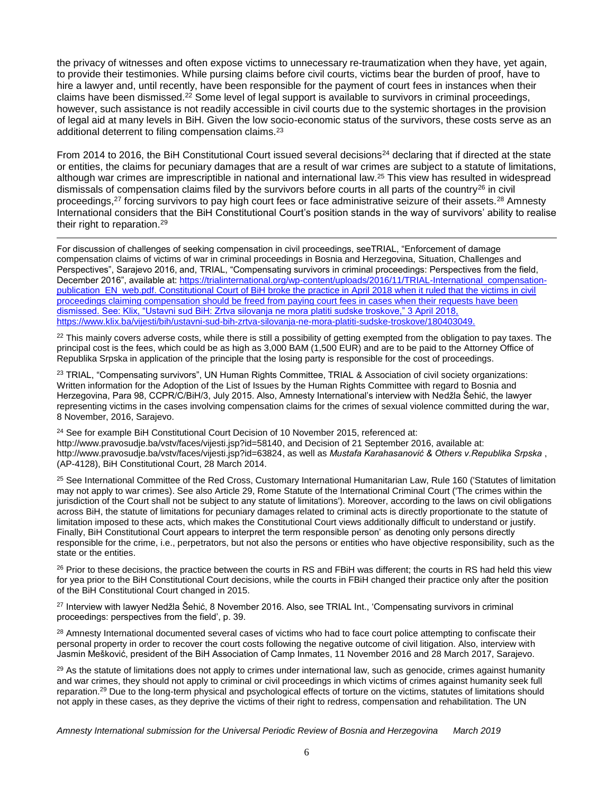the privacy of witnesses and often expose victims to unnecessary re-traumatization when they have, yet again, to provide their testimonies. While pursing claims before civil courts, victims bear the burden of proof, have to hire a lawyer and, until recently, have been responsible for the payment of court fees in instances when their claims have been dismissed.<sup>22</sup> Some level of legal support is available to survivors in criminal proceedings, however, such assistance is not readily accessible in civil courts due to the systemic shortages in the provision of legal aid at many levels in BiH. Given the low socio-economic status of the survivors, these costs serve as an additional deterrent to filing compensation claims.<sup>23</sup>

From 2014 to 2016, the BiH Constitutional Court issued several decisions<sup>24</sup> declaring that if directed at the state or entities, the claims for pecuniary damages that are a result of war crimes are subject to a statute of limitations, although war crimes are imprescriptible in national and international law.<sup>25</sup> This view has resulted in widespread dismissals of compensation claims filed by the survivors before courts in all parts of the country<sup>26</sup> in civil proceedings,<sup>27</sup> forcing survivors to pay high court fees or face administrative seizure of their assets.<sup>28</sup> Amnesty International considers that the BiH Constitutional Court's position stands in the way of survivors' ability to realise their right to reparation.<sup>29</sup>

 $\overline{a}$ For discussion of challenges of seeking compensation in civil proceedings, seeTRIAL, "Enforcement of damage compensation claims of victims of war in criminal proceedings in Bosnia and Herzegovina, Situation, Challenges and Perspectives", Sarajevo 2016, and, TRIAL, "Compensating survivors in criminal proceedings: Perspectives from the field, December 2016", available at: [https://trialinternational.org/wp-content/uploads/2016/11/TRIAL-International\\_compensation](https://trialinternational.org/wp-content/uploads/2016/11/TRIAL-International_compensation-publication_EN_web.pdf)[publication\\_EN\\_web.pdf.](https://trialinternational.org/wp-content/uploads/2016/11/TRIAL-International_compensation-publication_EN_web.pdf) Constitutional Court of BiH broke the practice in April 2018 when it ruled that the victims in civil proceedings claiming compensation should be freed from paying court fees in cases when their requests have been dismissed. See: Klix, "Ustavni sud BiH: Zrtva silovanja ne mora platiti sudske troskove," 3 April 2018, https://www.klix.ba/vijesti/bih/ustavni-sud-bih-zrtva-silovanja-ne-mora-platiti-sudske-troskove/180403049.

 $22$  This mainly covers adverse costs, while there is still a possibility of getting exempted from the obligation to pay taxes. The principal cost is the fees, which could be as high as 3,000 BAM (1,500 EUR) and are to be paid to the Attorney Office of Republika Srpska in application of the principle that the losing party is responsible for the cost of proceedings.

<sup>23</sup> TRIAL, "Compensating survivors", UN Human Rights Committee, TRIAL & Association of civil society organizations: Written information for the Adoption of the List of Issues by the Human Rights Committee with regard to Bosnia and Herzegovina, Para 98, CCPR/C/BiH/3, July 2015. Also, Amnesty International's interview with Nedžla Šehić, the lawyer representing victims in the cases involving compensation claims for the crimes of sexual violence committed during the war, 8 November, 2016, Sarajevo.

<sup>24</sup> See for example BiH Constitutional Court Decision of 10 November 2015, referenced at: [http://www.pravosudje.ba/vstv/faces/vijesti.jsp?id=58140,](http://www.pravosudje.ba/vstv/faces/vijesti.jsp?id=58140) and Decision of 21 September 2016, available at: [http://www.pravosudje.ba/vstv/faces/vijesti.jsp?id=63824,](http://www.pravosudje.ba/vstv/faces/vijesti.jsp?id=63824) as well as *Mustafa Karahasanović & Others v.Republika Srpska* , (AP-4128), BiH Constitutional Court, 28 March 2014.

<sup>25</sup> See International Committee of the Red Cross, Customary International Humanitarian Law, Rule 160 ('Statutes of limitation may not apply to war crimes). See also Article 29, Rome Statute of the International Criminal Court ('The crimes within the jurisdiction of the Court shall not be subject to any statute of limitations'). Moreover, according to the laws on civil obligations across BiH, the statute of limitations for pecuniary damages related to criminal acts is directly proportionate to the statute of limitation imposed to these acts, which makes the Constitutional Court views additionally difficult to understand or justify. Finally, BiH Constitutional Court appears to interpret the term responsible person' as denoting only persons directly responsible for the crime, i.e., perpetrators, but not also the persons or entities who have objective responsibility, such as the state or the entities.

<sup>26</sup> Prior to these decisions, the practice between the courts in RS and FBiH was different; the courts in RS had held this view for yea prior to the BiH Constitutional Court decisions, while the courts in FBiH changed their practice only after the position of the BiH Constitutional Court changed in 2015.

<sup>27</sup> Interview with lawyer Nedžla Šehić, 8 November 2016. Also, see TRIAL Int., 'Compensating survivors in criminal proceedings: perspectives from the field', p. 39.

<sup>28</sup> Amnesty International documented several cases of victims who had to face court police attempting to confiscate their personal property in order to recover the court costs following the negative outcome of civil litigation. Also, interview with Jasmin Mešković, president of the BiH Association of Camp Inmates, 11 November 2016 and 28 March 2017, Sarajevo.

 $29$  As the statute of limitations does not apply to crimes under international law, such as genocide, crimes against humanity and war crimes, they should not apply to criminal or civil proceedings in which victims of crimes against humanity seek full reparation.<sup>29</sup> Due to the long-term physical and psychological effects of torture on the victims, statutes of limitations should not apply in these cases, as they deprive the victims of their right to redress, compensation and rehabilitation. The UN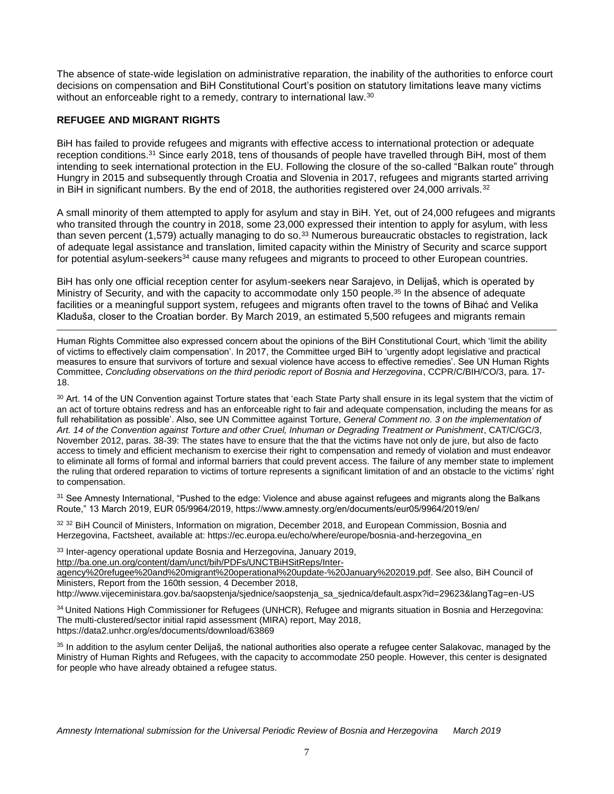The absence of state-wide legislation on administrative reparation, the inability of the authorities to enforce court decisions on compensation and BiH Constitutional Court's position on statutory limitations leave many victims without an enforceable right to a remedy, contrary to international law.<sup>30</sup>

#### **REFUGEE AND MIGRANT RIGHTS**

 $\overline{a}$ 

BiH has failed to provide refugees and migrants with effective access to international protection or adequate reception conditions.<sup>31</sup> Since early 2018, tens of thousands of people have travelled through BiH, most of them intending to seek international protection in the EU. Following the closure of the so-called "Balkan route" through Hungry in 2015 and subsequently through Croatia and Slovenia in 2017, refugees and migrants started arriving in BiH in significant numbers. By the end of 2018, the authorities registered over 24,000 arrivals.<sup>32</sup>

A small minority of them attempted to apply for asylum and stay in BiH. Yet, out of 24,000 refugees and migrants who transited through the country in 2018, some 23,000 expressed their intention to apply for asylum, with less than seven percent (1,579) actually managing to do so.<sup>33</sup> Numerous bureaucratic obstacles to registration, lack of adequate legal assistance and translation, limited capacity within the Ministry of Security and scarce support for potential asylum-seekers<sup>34</sup> cause many refugees and migrants to proceed to other European countries.

BiH has only one official reception center for asylum-seekers near Sarajevo, in Delijaš, which is operated by Ministry of Security, and with the capacity to accommodate only 150 people.<sup>35</sup> In the absence of adequate facilities or a meaningful support system, refugees and migrants often travel to the towns of Bihać and Velika Kladuša, closer to the Croatian border. By March 2019, an estimated 5,500 refugees and migrants remain

Human Rights Committee also expressed concern about the opinions of the BiH Constitutional Court, which 'limit the ability of victims to effectively claim compensation'. In 2017, the Committee urged BiH to 'urgently adopt legislative and practical measures to ensure that survivors of torture and sexual violence have access to effective remedies'. See UN Human Rights Committee, *Concluding observations on the third periodic report of Bosnia and Herzegovina*, CCPR/C/BIH/CO/3, para. 17- 18.

<sup>30</sup> Art. 14 of the UN Convention against Torture states that 'each State Party shall ensure in its legal system that the victim of an act of torture obtains redress and has an enforceable right to fair and adequate compensation, including the means for as full rehabilitation as possible'. Also, see UN Committee against Torture, *General Comment no. 3 on the implementation of Art. 14 of the Convention against Torture and other Cruel, Inhuman or Degrading Treatment or Punishment*, CAT/C/GC/3, November 2012, paras. 38-39: The states have to ensure that the that the victims have not only de jure, but also de facto access to timely and efficient mechanism to exercise their right to compensation and remedy of violation and must endeavor to eliminate all forms of formal and informal barriers that could prevent access. The failure of any member state to implement the ruling that ordered reparation to victims of torture represents a significant limitation of and an obstacle to the victims' right to compensation.

<sup>31</sup> See Amnesty International, "Pushed to the edge: Violence and abuse against refugees and migrants along the Balkans Route," 13 March 2019, EUR 05/9964/2019, https://www.amnesty.org/en/documents/eur05/9964/2019/en/

32 32 BiH Council of Ministers, Information on migration, December 2018, and European Commission, Bosnia and Herzegovina, Factsheet, available at: https://ec.europa.eu/echo/where/europe/bosnia-and-herzegovina\_en

<sup>33</sup> Inter-agency operational update Bosnia and Herzegovina, January 2019,

[http://ba.one.un.org/content/dam/unct/bih/PDFs/UNCTBiHSitReps/Inter-](http://ba.one.un.org/content/dam/unct/bih/PDFs/UNCTBiHSitReps/Inter-agency%20refugee%20and%20migrant%20operational%20update-%20January%202019.pdf)

[agency%20refugee%20and%20migrant%20operational%20update-%20January%202019.pdf.](http://ba.one.un.org/content/dam/unct/bih/PDFs/UNCTBiHSitReps/Inter-agency%20refugee%20and%20migrant%20operational%20update-%20January%202019.pdf) See also, BiH Council of Ministers, Report from the 160th session, 4 December 2018,

http://www.vijeceministara.gov.ba/saopstenja/sjednice/saopstenja\_sa\_sjednica/default.aspx?id=29623&langTag=en-US

<sup>34</sup> United Nations High Commissioner for Refugees (UNHCR), Refugee and migrants situation in Bosnia and Herzegovina: The multi-clustered/sector initial rapid assessment (MIRA) report, May 2018, https://data2.unhcr.org/es/documents/download/63869

<sup>35</sup> In addition to the asylum center Delijaš, the national authorities also operate a refugee center Salakovac, managed by the Ministry of Human Rights and Refugees, with the capacity to accommodate 250 people. However, this center is designated for people who have already obtained a refugee status.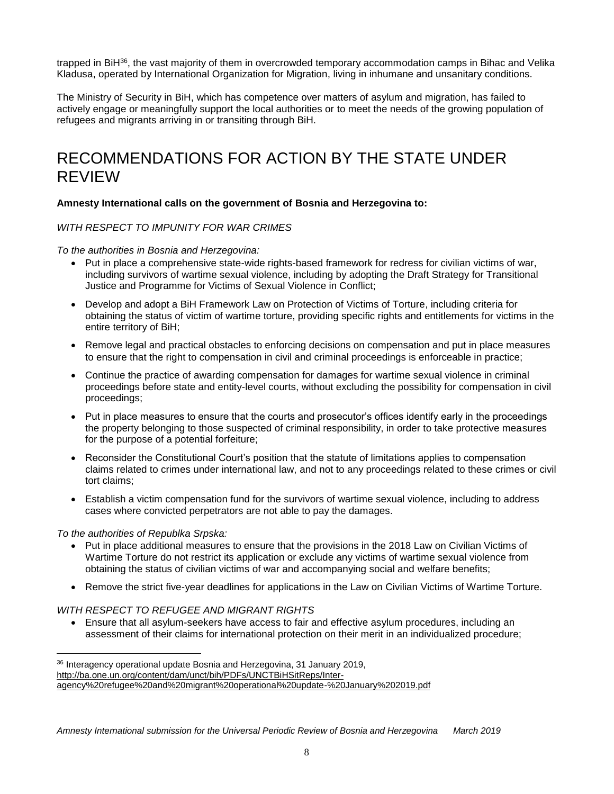trapped in BiH<sup>36</sup>, the vast majority of them in overcrowded temporary accommodation camps in Bihac and Velika Kladusa, operated by International Organization for Migration, living in inhumane and unsanitary conditions.

The Ministry of Security in BiH, which has competence over matters of asylum and migration, has failed to actively engage or meaningfully support the local authorities or to meet the needs of the growing population of refugees and migrants arriving in or transiting through BiH.

### RECOMMENDATIONS FOR ACTION BY THE STATE UNDER REVIEW

#### **Amnesty International calls on the government of Bosnia and Herzegovina to:**

#### *WITH RESPECT TO IMPUNITY FOR WAR CRIMES*

*To the authorities in Bosnia and Herzegovina:*

- Put in place a comprehensive state-wide rights-based framework for redress for civilian victims of war, including survivors of wartime sexual violence, including by adopting the Draft Strategy for Transitional Justice and Programme for Victims of Sexual Violence in Conflict;
- Develop and adopt a BiH Framework Law on Protection of Victims of Torture, including criteria for obtaining the status of victim of wartime torture, providing specific rights and entitlements for victims in the entire territory of BiH;
- Remove legal and practical obstacles to enforcing decisions on compensation and put in place measures to ensure that the right to compensation in civil and criminal proceedings is enforceable in practice;
- Continue the practice of awarding compensation for damages for wartime sexual violence in criminal proceedings before state and entity-level courts, without excluding the possibility for compensation in civil proceedings;
- Put in place measures to ensure that the courts and prosecutor's offices identify early in the proceedings the property belonging to those suspected of criminal responsibility, in order to take protective measures for the purpose of a potential forfeiture;
- Reconsider the Constitutional Court's position that the statute of limitations applies to compensation claims related to crimes under international law, and not to any proceedings related to these crimes or civil tort claims;
- Establish a victim compensation fund for the survivors of wartime sexual violence, including to address cases where convicted perpetrators are not able to pay the damages.

#### *To the authorities of Republka Srpska:*

 $\overline{a}$ 

- Put in place additional measures to ensure that the provisions in the 2018 Law on Civilian Victims of Wartime Torture do not restrict its application or exclude any victims of wartime sexual violence from obtaining the status of civilian victims of war and accompanying social and welfare benefits;
- Remove the strict five-year deadlines for applications in the Law on Civilian Victims of Wartime Torture.

#### *WITH RESPECT TO REFUGEE AND MIGRANT RIGHTS*

 Ensure that all asylum-seekers have access to fair and effective asylum procedures, including an assessment of their claims for international protection on their merit in an individualized procedure;

<sup>36</sup> Interagency operational update Bosnia and Herzegovina, 31 January 2019,

[http://ba.one.un.org/content/dam/unct/bih/PDFs/UNCTBiHSitReps/Inter-](http://ba.one.un.org/content/dam/unct/bih/PDFs/UNCTBiHSitReps/Inter-agency%20refugee%20and%20migrant%20operational%20update-%20January%202019.pdf)

[agency%20refugee%20and%20migrant%20operational%20update-%20January%202019.pdf](http://ba.one.un.org/content/dam/unct/bih/PDFs/UNCTBiHSitReps/Inter-agency%20refugee%20and%20migrant%20operational%20update-%20January%202019.pdf)